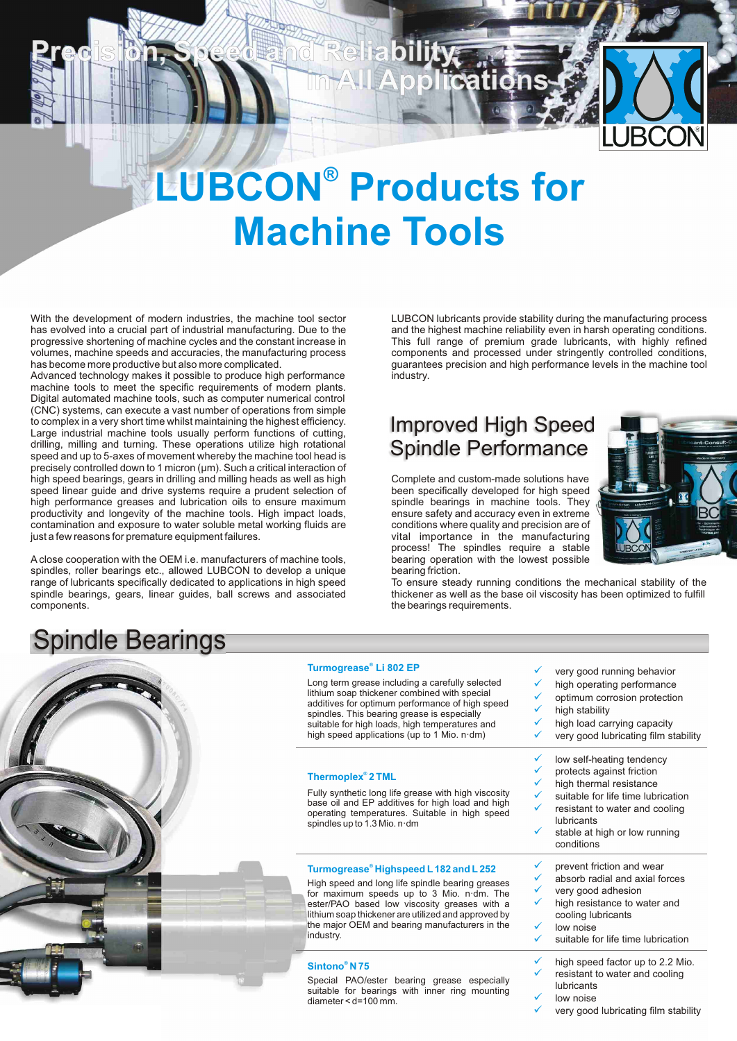

## **LUBCON<sup>®</sup> Products for Machine Tools**

Rei

With the development of modern industries, the machine tool sector<br>has evolved into a crucial part of industrial manufacturing. Due to the and the highest machine reliability even in harsh operating conditions. progressive shortening of machine cycles and the constant increase in This full range of premium grade lubricants, with highly refined volumes, machine speeds and accuracies, the manufacturing process components and processed under stringently controlled conditions,<br>has become more productive but also more complicated.<br>
quarantees precision and high perfo

Advanced technology makes it possible to produce high performance machine tools to meet the specific requirements of modern plants. Digital automated machine tools, such as computer numerical control (CNC) systems, can execute a vast number of operations from simple to complex in a very short time whilst maintaining the highest efficiency. Large industrial machine tools usually perform functions of cutting, drilling, milling and turning. These operations utilize high rotational speed and up to 5-axes of movement whereby the machine tool head is precisely controlled down to 1 micron (µm). Such a critical interaction of high speed bearings, gears in drilling and milling heads as well as high speed linear guide and drive systems require a prudent selection of high performance greases and lubrication oils to ensure maximum productivity and longevity of the machine tools. High impact loads, contamination and exposure to water soluble metal working fluids are just a few reasons for premature equipment failures.

Aclose cooperation with the OEM i.e. manufacturers of machine tools, spindles, roller bearings etc., allowed LUBCON to develop a unique range of lubricants specifically dedicated to applications in high speed spindle bearings, gears, linear guides, ball screws and associated components.

## Spindle Bearings



#### **Turmogrease® Li 802 EP**

bearing friction.

| <b>Iurmogrease</b> Li 802 EP<br>Long term grease including a carefully selected<br>lithium soap thickener combined with special<br>additives for optimum performance of high speed<br>spindles. This bearing grease is especially<br>suitable for high loads, high temperatures and<br>high speed applications (up to 1 Mio. $n \cdot dm$ ) | ✓<br>very good running behavior<br>✓<br>high operating performance<br>✓<br>optimum corrosion protection<br>✓<br>high stability<br>high load carrying capacity<br>✓<br>very good lubricating film stability<br>✓<br>✓<br>low self-heating tendency |
|---------------------------------------------------------------------------------------------------------------------------------------------------------------------------------------------------------------------------------------------------------------------------------------------------------------------------------------------|---------------------------------------------------------------------------------------------------------------------------------------------------------------------------------------------------------------------------------------------------|
| Thermoplex <sup>®</sup> 2 TML<br>Fully synthetic long life grease with high viscosity<br>base oil and EP additives for high load and high<br>operating temperatures. Suitable in high speed<br>spindles up to 1.3 Mio. n·dm                                                                                                                 | ✓<br>protects against friction<br>✓<br>high thermal resistance<br>✓<br>suitable for life time lubrication<br>✓<br>resistant to water and cooling<br>lubricants<br>✓<br>stable at high or low running<br>conditions                                |
| Turmogrease® Highspeed L 182 and L 252<br>High speed and long life spindle bearing greases<br>for maximum speeds up to 3 Mio. n dm. The<br>ester/PAO based low viscosity greases with a<br>lithium soap thickener are utilized and approved by<br>the major OEM and bearing manufacturers in the<br>industry.                               | ✓<br>prevent friction and wear<br>absorb radial and axial forces<br>✓<br>✓<br>very good adhesion<br>high resistance to water and<br>✓<br>cooling lubricants<br>✓<br>low noise<br>suitable for life time lubrication<br>✓                          |
| Sintono <sup>®</sup> N 75<br>Special PAO/ester bearing grease especially<br>suitable for bearings with inner ring mounting<br>$diameter < d=100$ mm.                                                                                                                                                                                        | ✓<br>high speed factor up to 2.2 Mio.<br>✓<br>resistant to water and cooling<br>lubricants<br>✓<br>low noise<br>✓<br>very good lubricating film stability                                                                                         |



To ensure steady running conditions the mechanical stability of the thickener as well as the base oil viscosity has been optimized to fulfill the bearings requirements.

and the highest machine reliability even in harsh operating conditions.

guarantees precision and high performance levels in the machine tool<br>industry